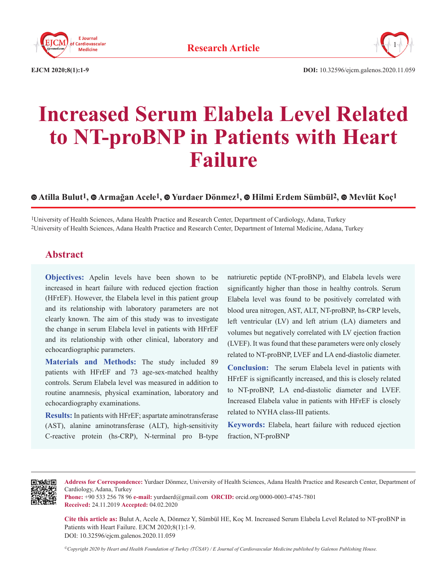



**EJCM 2020;8(1):1-9 DOI:** 10.32596/ejcm.galenos.2020.11.059

# **Increased Serum Elabela Level Related to NT-proBNP in Patients with Heart Failure**

 **[A](https://orcid.org/0000-0001-9178-4027)tilla Bulut1,Armağan Acele1, Yurdaer Dönmez1, Hilmi Erdem Sümbül2,Mevlüt Koç1**

1University of Health Sciences, Adana Health Practice and Research Center, Department of Cardiology, Adana, Turkey 2University of Health Sciences, Adana Health Practice and Research Center, Department of Internal Medicine, Adana, Turkey

## **Abstract**

**Objectives:** Apelin levels have been shown to be increased in heart failure with reduced ejection fraction (HFrEF). However, the Elabela level in this patient group and its relationship with laboratory parameters are not clearly known. The aim of this study was to investigate the change in serum Elabela level in patients with HFrEF and its relationship with other clinical, laboratory and echocardiographic parameters.

**Materials and Methods:** The study included 89 patients with HFrEF and 73 age-sex-matched healthy controls. Serum Elabela level was measured in addition to routine anamnesis, physical examination, laboratory and echocardiography examinations.

**Results:** In patients with HFrEF; aspartate aminotransferase (AST), alanine aminotransferase (ALT), high-sensitivity C-reactive protein (hs-CRP), N-terminal pro B-type natriuretic peptide (NT-proBNP), and Elabela levels were significantly higher than those in healthy controls. Serum Elabela level was found to be positively correlated with blood urea nitrogen, AST, ALT, NT-proBNP, hs-CRP levels, left ventricular (LV) and left atrium (LA) diameters and volumes but negatively correlated with LV ejection fraction (LVEF). It was found that these parameters were only closely related to NT-proBNP, LVEF and LA end-diastolic diameter.

**Conclusion:** The serum Elabela level in patients with HFrEF is significantly increased, and this is closely related to NT-proBNP, LA end-diastolic diameter and LVEF. Increased Elabela value in patients with HFrEF is closely related to NYHA class-III patients.

**Keywords:** Elabela, heart failure with reduced ejection fraction, NT-proBNP



**Address for Correspondence:** Yurdaer Dönmez, University of Health Sciences, Adana Health Practice and Research Center, Department of Cardiology, Adana, Turkey

**Phone:** +90 533 256 78 96 **e-mail:** yurdaerd@gmail.com **ORCID:** orcid.org/0000-0003-4745-7801 **Received:** 24.11.2019 **Accepted:** 04.02.2020

**Cite this article as:** Bulut A, Acele A, Dönmez Y, Sümbül HE, Koç M. Increased Serum Elabela Level Related to NT-proBNP in Patients with Heart Failure. EJCM 2020;8(1):1-9. DOI: 10.32596/ejcm.galenos.2020.11.059

*©Copyright 2020 by Heart and Health Foundation of Turkey (TÜSAV) / E Journal of Cardiovascular Medicine published by Galenos Publishing House.*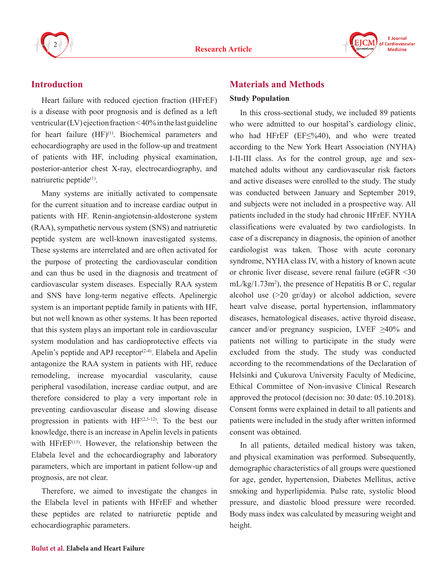



## **Introduction**

Heart failure with reduced ejection fraction (HFrEF) is a disease with poor prognosis and is defined as a left ventricular (LV) ejection fraction < 40% in the last guideline for heart failure  $(HF)^{(1)}$ . Biochemical parameters and echocardiography are used in the follow-up and treatment of patients with HF, including physical examination, posterior-anterior chest X-ray, electrocardiography, and natriuretic peptide $(1)$ .

Many systems are initially activated to compensate for the current situation and to increase cardiac output in patients with HF. Renin-angiotensin-aldosterone system (RAA), sympathetic nervous system (SNS) and natriuretic peptide system are well-known inavestigated systems. These systems are interrelated and are often activated for the purpose of protecting the cardiovascular condition and can thus be used in the diagnosis and treatment of cardiovascular system diseases. Especially RAA system and SNS have long-term negative effects. Apelinergic system is an important peptide family in patients with HF, but not well known as other systems. It has been reported that this system plays an important role in cardiovascular system modulation and has cardioprotective effects via Apelin's peptide and APJ receptor<sup> $(2-4)$ </sup>. Elabela and Apelin antagonize the RAA system in patients with HF, reduce remodeling, increase myocardial vascularity, cause peripheral vasodilation, increase cardiac output, and are therefore considered to play a very important role in preventing cardiovascular disease and slowing disease progression in patients with  $HF^{(2,5-12)}$ . To the best our knowledge, there is an increase in Apelin levels in patients with  $H$ Fr $EF^{(13)}$ . However, the relationship between the Elabela level and the echocardiography and laboratory parameters, which are important in patient follow-up and prognosis, are not clear.

Therefore, we aimed to investigate the changes in the Elabela level in patients with HFrEF and whether these peptides are related to natriuretic peptide and echocardiographic parameters.

## **Materials and Methods**

#### **Study Population**

In this cross-sectional study, we included 89 patients who were admitted to our hospital's cardiology clinic, who had HFrEF (EF≤%40), and who were treated according to the New York Heart Association (NYHA) I-II-III class. As for the control group, age and sexmatched adults without any cardiovascular risk factors and active diseases were enrolled to the study. The study was conducted between January and September 2019, and subjects were not included in a prospective way. All patients included in the study had chronic HFrEF. NYHA classifications were evaluated by two cardiologists. In case of a discrepancy in diagnosis, the opinion of another cardiologist was taken. Those with acute coronary syndrome, NYHA class IV, with a history of known acute or chronic liver disease, severe renal failure (eGFR <30  $mL/kg/1.73m<sup>2</sup>$ ), the presence of Hepatitis B or C, regular alcohol use (>20 gr/day) or alcohol addiction, severe heart valve disease, portal hypertension, inflammatory diseases, hematological diseases, active thyroid disease, cancer and/or pregnancy suspicion, LVEF  $\geq 40\%$  and patients not willing to participate in the study were excluded from the study. The study was conducted according to the recommendations of the Declaration of Helsinki and Çukurova University Faculty of Medicine, Ethical Committee of Non-invasive Clinical Research approved the protocol (decision no: 30 date: 05.10.2018). Consent forms were explained in detail to all patients and patients were included in the study after written informed consent was obtained.

In all patients, detailed medical history was taken, and physical examination was performed. Subsequently, demographic characteristics of all groups were questioned for age, gender, hypertension, Diabetes Mellitus, active smoking and hyperlipidemia. Pulse rate, systolic blood pressure, and diastolic blood pressure were recorded. Body mass index was calculated by measuring weight and height.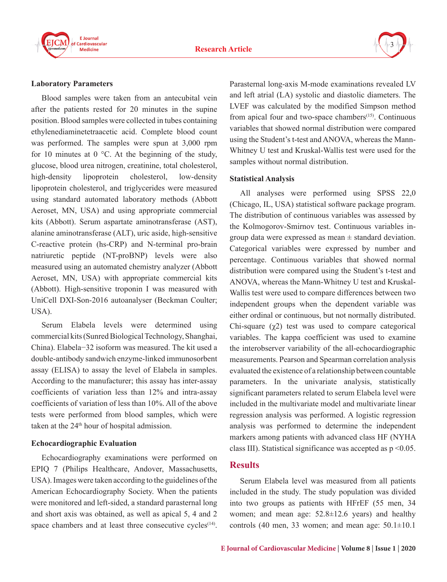



#### **Laboratory Parameters**

Blood samples were taken from an antecubital vein after the patients rested for 20 minutes in the supine position. Blood samples were collected in tubes containing ethylenediaminetetraacetic acid. Complete blood count was performed. The samples were spun at 3,000 rpm for 10 minutes at  $0^{\circ}$ C. At the beginning of the study, glucose, blood urea nitrogen, creatinine, total cholesterol, high-density lipoprotein cholesterol, low-density lipoprotein cholesterol, and triglycerides were measured using standard automated laboratory methods (Abbott Aeroset, MN, USA) and using appropriate commercial kits (Abbott). Serum aspartate aminotransferase (AST), alanine aminotransferase (ALT), uric aside, high-sensitive C-reactive protein (hs-CRP) and N-terminal pro-brain natriuretic peptide (NT-proBNP) levels were also measured using an automated chemistry analyzer (Abbott Aeroset, MN, USA) with appropriate commercial kits (Abbott). High-sensitive troponin I was measured with UniCell DXI-Son-2016 autoanalyser (Beckman Coulter; USA).

Serum Elabela levels were determined using commercial kits (Sunred Biological Technology, Shanghai, China). Elabela−32 isoform was measured. The kit used a double-antibody sandwich enzyme-linked immunosorbent assay (ELISA) to assay the level of Elabela in samples. According to the manufacturer; this assay has inter-assay coefficients of variation less than 12% and intra-assay coefficients of variation of less than 10%. All of the above tests were performed from blood samples, which were taken at the  $24<sup>th</sup>$  hour of hospital admission.

## **Echocardiographic Evaluation**

Echocardiography examinations were performed on EPIQ 7 (Philips Healthcare, Andover, Massachusetts, USA). Images were taken according to the guidelines of the American Echocardiography Society. When the patients were monitored and left-sided, a standard parasternal long and short axis was obtained, as well as apical 5, 4 and 2 space chambers and at least three consecutive cycles $(14)$ .

Parasternal long-axis M-mode examinations revealed LV and left atrial (LA) systolic and diastolic diameters. The LVEF was calculated by the modified Simpson method from apical four and two-space chambers<sup> $(15)$ </sup>. Continuous variables that showed normal distribution were compared using the Student's t-test and ANOVA, whereas the Mann-Whitney U test and Kruskal-Wallis test were used for the samples without normal distribution.

#### **Statistical Analysis**

All analyses were performed using SPSS 22,0 (Chicago, IL, USA) statistical software package program. The distribution of continuous variables was assessed by the Kolmogorov-Smirnov test. Continuous variables ingroup data were expressed as mean  $\pm$  standard deviation. Categorical variables were expressed by number and percentage. Continuous variables that showed normal distribution were compared using the Student's t-test and ANOVA, whereas the Mann-Whitney U test and Kruskal-Wallis test were used to compare differences between two independent groups when the dependent variable was either ordinal or continuous, but not normally distributed. Chi-square  $(\chi^2)$  test was used to compare categorical variables. The kappa coefficient was used to examine the interobserver variability of the all-echocardiographic measurements. Pearson and Spearman correlation analysis evaluated the existence of a relationship between countable parameters. In the univariate analysis, statistically significant parameters related to serum Elabela level were included in the multivariate model and multivariate linear regression analysis was performed. A logistic regression analysis was performed to determine the independent markers among patients with advanced class HF (NYHA class III). Statistical significance was accepted as  $p \le 0.05$ .

## **Results**

Serum Elabela level was measured from all patients included in the study. The study population was divided into two groups as patients with HFrEF (55 men, 34 women; and mean age: 52.8±12.6 years) and healthy controls (40 men, 33 women; and mean age:  $50.1 \pm 10.1$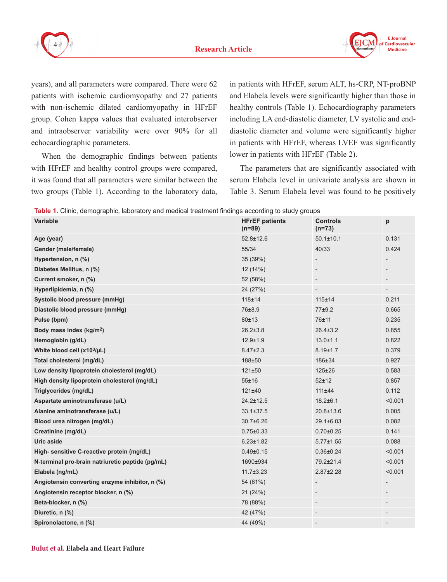



years), and all parameters were compared. There were 62 patients with ischemic cardiomyopathy and 27 patients with non-ischemic dilated cardiomyopathy in HFrEF group. Cohen kappa values that evaluated interobserver and intraobserver variability were over 90% for all echocardiographic parameters.

When the demographic findings between patients with HFrEF and healthy control groups were compared, it was found that all parameters were similar between the two groups (Table 1). According to the laboratory data, in patients with HFrEF, serum ALT, hs-CRP, NT-proBNP and Elabela levels were significantly higher than those in healthy controls (Table 1). Echocardiography parameters including LA end-diastolic diameter, LV systolic and enddiastolic diameter and volume were significantly higher in patients with HFrEF, whereas LVEF was significantly lower in patients with HFrEF (Table 2).

The parameters that are significantly associated with serum Elabela level in univariate analysis are shown in Table 3. Serum Elabela level was found to be positively

**Table 1.** Clinic, demographic, laboratory and medical treatment findings according to study groups

| <b>Variable</b>                                  | <b>HFrEF</b> patients<br>$(n=89)$ | <b>Controls</b><br>$(n=73)$ | p                 |
|--------------------------------------------------|-----------------------------------|-----------------------------|-------------------|
| Age (year)                                       | 52.8±12.6                         | $50.1 \pm 10.1$             | 0.131             |
| Gender (male/female)                             | 55/34                             | 40/33                       | 0.424             |
| Hypertension, n (%)                              | 35 (39%)                          |                             | $\qquad \qquad -$ |
| Diabetes Mellitus, n (%)                         | 12(14%)                           |                             |                   |
| Current smoker, n (%)                            | 52 (58%)                          |                             | $\qquad \qquad -$ |
| Hyperlipidemia, n (%)                            | 24 (27%)                          |                             |                   |
| Systolic blood pressure (mmHg)                   | $118 + 14$                        | 115±14                      | 0.211             |
| Diastolic blood pressure (mmHg)                  | 76±8.9                            | 77±9.2                      | 0.665             |
| Pulse (bpm)                                      | 80±13                             | 76±11                       | 0.235             |
| Body mass index (kg/m <sup>2</sup> )             | $26.2 \pm 3.8$                    | $26.4 \pm 3.2$              | 0.855             |
| Hemoglobin (g/dL)                                | $12.9 + 1.9$                      | $13.0 \pm 1.1$              | 0.822             |
| White blood cell (x103/µL)                       | $8.47 \pm 2.3$                    | $8.19 \pm 1.7$              | 0.379             |
| Total cholesterol (mg/dL)                        | 188±50                            | 186±34                      | 0.927             |
| Low density lipoprotein cholesterol (mg/dL)      | 121±50                            | $125 \pm 26$                | 0.583             |
| High density lipoprotein cholesterol (mg/dL)     | 55±16                             | $52 + 12$                   | 0.857             |
| Triglycerides (mg/dL)                            | 121±40                            | 111±44                      | 0.112             |
| Aspartate aminotransferase (u/L)                 | $24.2 \pm 12.5$                   | $18.2 \pm 6.1$              | < 0.001           |
| Alanine aminotransferase (u/L)                   | $33.1 \pm 37.5$                   | $20.8 \pm 13.6$             | 0.005             |
| Blood urea nitrogen (mg/dL)                      | 30.7±6.26                         | $29.1 \pm 6.03$             | 0.082             |
| Creatinine (mg/dL)                               | $0.75 \pm 0.33$                   | $0.70 \pm 0.25$             | 0.141             |
| Uric aside                                       | $6.23 \pm 1.82$                   | $5.77 \pm 1.55$             | 0.088             |
| High- sensitive C-reactive protein (mg/dL)       | $0.49{\pm}0.15$                   | $0.36 \pm 0.24$             | < 0.001           |
| N-terminal pro-brain natriuretic peptide (pg/mL) | 1690±934                          | 79.2±21.4                   | < 0.001           |
| Elabela (ng/mL)                                  | $11.7 \pm 3.23$                   | $2.87 \pm 2.28$             | < 0.001           |
| Angiotensin converting enzyme inhibitor, n (%)   | 54 (61%)                          |                             |                   |
| Angiotensin receptor blocker, n (%)              | 21(24%)                           |                             | $\qquad \qquad -$ |
| Beta-blocker, n (%)                              | 78 (88%)                          |                             |                   |
| Diuretic, n (%)                                  | 42 (47%)                          |                             |                   |
| Spironolactone, n (%)                            | 44 (49%)                          |                             |                   |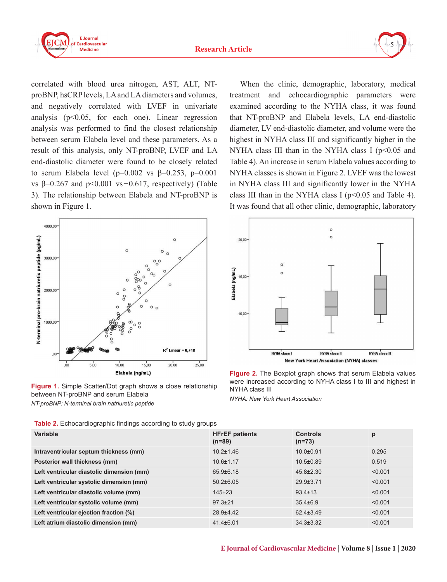



correlated with blood urea nitrogen, AST, ALT, NTproBNP, hsCRP levels, LA and LA diameters and volumes, and negatively correlated with LVEF in univariate analysis (p<0.05, for each one). Linear regression analysis was performed to find the closest relationship between serum Elabela level and these parameters. As a result of this analysis, only NT-proBNP, LVEF and LA end-diastolic diameter were found to be closely related to serum Elabela level ( $p=0.002$  vs  $\beta=0.253$ ,  $p=0.001$ vs  $\beta$ =0.267 and  $p$ <0.001 vs -0.617, respectively) (Table 3). The relationship between Elabela and NT-proBNP is shown in Figure 1.



**Figure 1.** Simple Scatter/Dot graph shows a close relationship between NT-proBNP and serum Elabela *NT-proBNP: N-terminal brain natriuretic peptide*

**Table 2.** Echocardiographic findings according to study groups

When the clinic, demographic, laboratory, medical treatment and echocardiographic parameters were examined according to the NYHA class, it was found that NT-proBNP and Elabela levels, LA end-diastolic diameter, LV end-diastolic diameter, and volume were the highest in NYHA class III and significantly higher in the NYHA class III than in the NYHA class I ( $p$ <0.05 and Table 4). An increase in serum Elabela values according to NYHA classes is shown in Figure 2. LVEF was the lowest in NYHA class III and significantly lower in the NYHA class III than in the NYHA class I ( $p<0.05$  and Table 4). It was found that all other clinic, demographic, laboratory



**Figure 2.** The Boxplot graph shows that serum Elabela values were increased according to NYHA class I to III and highest in NYHA class III

*NYHA: New York Heart Association*

| Variable                                  | <b>HFrEF</b> patients<br>$(n=89)$ | <b>Controls</b><br>$(n=73)$ | p       |
|-------------------------------------------|-----------------------------------|-----------------------------|---------|
| Intraventricular septum thickness (mm)    | $10.2 \pm 1.46$                   | $10.0 + 0.91$               | 0.295   |
| Posterior wall thickness (mm)             | $10.6 \pm 1.17$                   | $10.5 \pm 0.89$             | 0.519   |
| Left ventricular diastolic dimension (mm) | $65.9 \pm 6.18$                   | $45.8 \pm 2.30$             | < 0.001 |
| Left ventricular systolic dimension (mm)  | $50.2 \pm 6.05$                   | $29.9 \pm 3.71$             | < 0.001 |
| Left ventricular diastolic volume (mm)    | $145+23$                          | $93.4 \pm 13$               | < 0.001 |
| Left ventricular systolic volume (mm)     | $97.3 \pm 21$                     | $35.4\pm 6.9$               | < 0.001 |
| Left ventricular ejection fraction (%)    | 28.9±4.42                         | $62.4 \pm 3.49$             | < 0.001 |
| Left atrium diastolic dimension (mm)      | $41.4\pm 6.01$                    | $34.3 \pm 3.32$             | < 0.001 |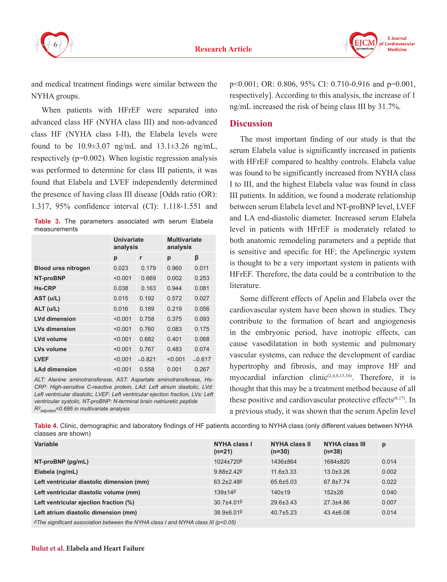



and medical treatment findings were similar between the NYHA groups.

When patients with HFrEF were separated into advanced class HF (NYHA class III) and non-advanced class HF (NYHA class I-II), the Elabela levels were found to be  $10.9\pm3.07$  ng/mL and  $13.1\pm3.26$  ng/mL, respectively (p=0.002). When logistic regression analysis was performed to determine for class III patients, it was found that Elabela and LVEF independently determined the presence of having class III disease [Odds ratio (OR): 1.317, 95% confidence interval (CI): 1.118-1.551 and

|              | <b>Table 3.</b> The parameters associated with serum Elabela |  |  |
|--------------|--------------------------------------------------------------|--|--|
| measurements |                                                              |  |  |

|                            | Univariate<br>analysis |          | <b>Multivariate</b><br>analysis |          |
|----------------------------|------------------------|----------|---------------------------------|----------|
|                            | р                      | r        | р                               | β        |
| <b>Blood urea nitrogen</b> | 0.023                  | 0.179    | 0.960                           | 0.011    |
| NT-proBNP                  | < 0.001                | 0.669    | 0.002                           | 0.253    |
| <b>Hs-CRP</b>              | 0.038                  | 0.163    | 0.944                           | 0.081    |
| AST (u/L)                  | 0.015                  | 0.192    | 0.572                           | 0.027    |
| $ALT$ (u/L)                | 0.016                  | 0.189    | 0.219                           | 0.056    |
| <b>LVd dimension</b>       | < 0.001                | 0.758    | 0.375                           | 0.093    |
| <b>LVs dimension</b>       | < 0.001                | 0.760    | 0.083                           | 0.175    |
| <b>LVd volume</b>          | < 0.001                | 0.682    | 0.401                           | 0.068    |
| LVs volume                 | < 0.001                | 0.767    | 0.483                           | 0.074    |
| <b>LVEF</b>                | < 0.001                | $-0.821$ | < 0.001                         | $-0.617$ |
| <b>LAd dimension</b>       | < 0.001                | 0.558    | 0.001                           | 0.267    |

*ALT: Alanine aminotransferase, AST: Aspartate aminotransferase, Hs-CRP: High-sensitive C-reactive protein, LAd: Left atrium diastolic, LVd: Left ventricular diastolic, LVEF: Left ventricular ejection fraction, LVs: Left ventricular systolic, NT-proBNP: N-terminal brain natriuretic peptide R2 adjusted=0.686 in multivariate analysis*

p<0.001; OR: 0.806, 95% CI: 0.710-0.916 and p=0.001, respectively]. According to this analysis, the increase of 1 ng/mL increased the risk of being class III by 31.7%.

## **Discussion**

The most important finding of our study is that the serum Elabela value is significantly increased in patients with HFrEF compared to healthy controls. Elabela value was found to be significantly increased from NYHA class I to III, and the highest Elabela value was found in class III patients. In addition, we found a moderate relationship between serum Elabela level and NT-proBNP level, LVEF and LA end-diastolic diameter. Increased serum Elabela level in patients with HFrEF is moderately related to both anatomic remodeling parameters and a peptide that is sensitive and specific for HF; the Apelinergic system is thought to be a very important system in patients with HFrEF. Therefore, the data could be a contribution to the literature.

Some different effects of Apelin and Elabela over the cardiovascular system have been shown in studies. They contribute to the formation of heart and angiogenesis in the embryonic period, have inotropic effects, can cause vasodilatation in both systemic and pulmonary vascular systems, can reduce the development of cardiac hypertrophy and fibrosis, and may improve HF and myocardial infarction clinic<sup> $(2,4,8,13,16)$ </sup>. Therefore, it is thought that this may be a treatment method because of all these positive and cardiovascular protective effects $(8,17)$ . In a previous study, it was shown that the serum Apelin level

**Table 4.** Clinic, demographic and laboratory findings of HF patients according to NYHA class (only different values between NYHA classes are shown)

| Variable                                  | NYHA class I<br>$(n=21)$                      | NYHA class II<br>$(n=30)$ | <b>NYHA class III</b><br>$(n=38)$ | p     |
|-------------------------------------------|-----------------------------------------------|---------------------------|-----------------------------------|-------|
| NT-proBNP (pg/mL)                         | $1024\pm720$ <sup><math>\beta</math></sup>    | 1436±864                  | 1684±820                          | 0.014 |
| Elabela (ng/mL)                           | $9.88 \pm 2.42$ <sup><math>\beta</math></sup> | $11.6 \pm 3.33$           | $13.0 \pm 3.26$                   | 0.002 |
| Left ventricular diastolic dimension (mm) | $63.2 \pm 2.48$ <sup><math>\beta</math></sup> | 65.6±5.03                 | $67.8 \pm 7.74$                   | 0.022 |
| Left ventricular diastolic volume (mm)    | $139\pm14\beta$                               | 140±19                    | $152+28$                          | 0.040 |
| Left ventricular ejection fraction (%)    | $30.7 + 4.01$ <sup><math>\beta</math></sup>   | $29.6 \pm 3.43$           | $27.3 + 4.86$                     | 0.007 |
| Left atrium diastolic dimension (mm)      | $38.9 \pm 6.01$ <sup><math>\beta</math></sup> | $40.7\pm5.23$             | $43.4\pm 6.08$                    | 0.014 |

*βThe significant association between the NYHA class I and NYHA class III (p<0.05)*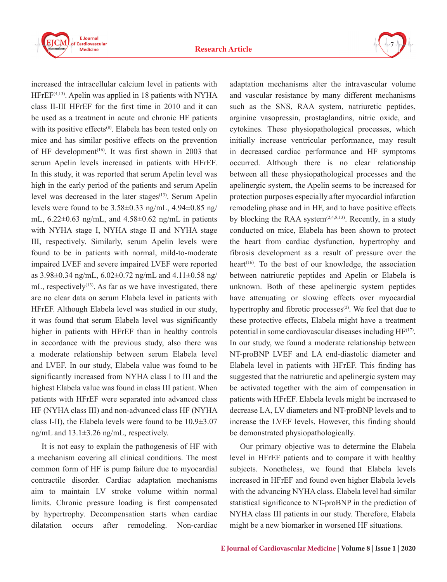

increased the intracellular calcium level in patients with  $H$ FrE $F^{(4,13)}$ . Apelin was applied in 18 patients with NYHA class II-III HFrEF for the first time in 2010 and it can be used as a treatment in acute and chronic HF patients with its positive effects $(8)$ . Elabela has been tested only on mice and has similar positive effects on the prevention of HF development<sup> $(16)$ </sup>. It was first shown in 2003 that serum Apelin levels increased in patients with HFrEF. In this study, it was reported that serum Apelin level was high in the early period of the patients and serum Apelin level was decreased in the later stages $(13)$ . Serum Apelin levels were found to be  $3.58\pm0.33$  ng/mL,  $4.94\pm0.85$  ng/ mL,  $6.22 \pm 0.63$  ng/mL, and  $4.58 \pm 0.62$  ng/mL in patients with NYHA stage I, NYHA stage II and NYHA stage III, respectively. Similarly, serum Apelin levels were found to be in patients with normal, mild-to-moderate impaired LVEF and severe impaired LVEF were reported as 3.98±0.34 ng/mL, 6.02±0.72 ng/mL and 4.11±0.58 ng/ mL, respectively<sup> $(13)$ </sup>. As far as we have investigated, there are no clear data on serum Elabela level in patients with HFrEF. Although Elabela level was studied in our study, it was found that serum Elabela level was significantly

higher in patients with HFrEF than in healthy controls in accordance with the previous study, also there was a moderate relationship between serum Elabela level and LVEF. In our study, Elabela value was found to be significantly increased from NYHA class I to III and the highest Elabela value was found in class III patient. When patients with HFrEF were separated into advanced class HF (NYHA class III) and non-advanced class HF (NYHA class I-II), the Elabela levels were found to be 10.9±3.07 ng/mL and 13.1±3.26 ng/mL, respectively.

It is not easy to explain the pathogenesis of HF with a mechanism covering all clinical conditions. The most common form of HF is pump failure due to myocardial contractile disorder. Cardiac adaptation mechanisms aim to maintain LV stroke volume within normal limits. Chronic pressure loading is first compensated by hypertrophy. Decompensation starts when cardiac dilatation occurs after remodeling. Non-cardiac

adaptation mechanisms alter the intravascular volume and vascular resistance by many different mechanisms such as the SNS, RAA system, natriuretic peptides, arginine vasopressin, prostaglandins, nitric oxide, and cytokines. These physiopathological processes, which initially increase ventricular performance, may result in decreased cardiac performance and HF symptoms occurred. Although there is no clear relationship between all these physiopathological processes and the apelinergic system, the Apelin seems to be increased for protection purposes especially after myocardial infarction remodeling phase and in HF, and to have positive effects by blocking the RAA system<sup> $(2,4,8,13)$ </sup>. Recently, in a study conducted on mice, Elabela has been shown to protect the heart from cardiac dysfunction, hypertrophy and fibrosis development as a result of pressure over the heart<sup> $(16)$ </sup>. To the best of our knowledge, the association between natriuretic peptides and Apelin or Elabela is unknown. Both of these apelinergic system peptides have attenuating or slowing effects over myocardial hypertrophy and fibrotic processes $(2)$ . We feel that due to these protective effects, Elabela might have a treatment potential in some cardiovascular diseases including  $HF^{(17)}$ . In our study, we found a moderate relationship between NT-proBNP LVEF and LA end-diastolic diameter and Elabela level in patients with HFrEF. This finding has suggested that the natriuretic and apelinergic system may be activated together with the aim of compensation in patients with HFrEF. Elabela levels might be increased to decrease LA, LV diameters and NT-proBNP levels and to increase the LVEF levels. However, this finding should be demonstrated physiopathologically.

7

Our primary objective was to determine the Elabela level in HFrEF patients and to compare it with healthy subjects. Nonetheless, we found that Elabela levels increased in HFrEF and found even higher Elabela levels with the advancing NYHA class. Elabela level had similar statistical significance to NT-proBNP in the prediction of NYHA class III patients in our study. Therefore, Elabela might be a new biomarker in worsened HF situations.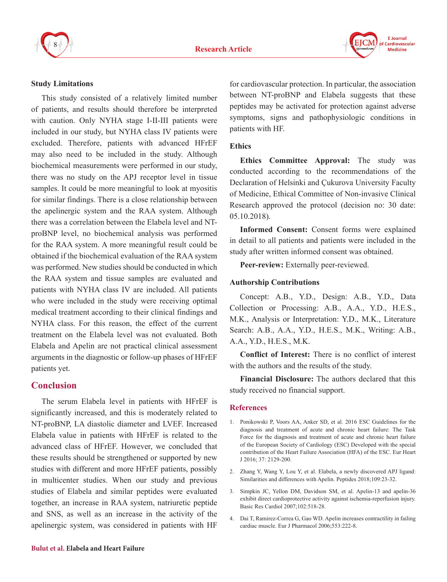



#### **Study Limitations**

This study consisted of a relatively limited number of patients, and results should therefore be interpreted with caution. Only NYHA stage I-II-III patients were included in our study, but NYHA class IV patients were excluded. Therefore, patients with advanced HFrEF may also need to be included in the study. Although biochemical measurements were performed in our study, there was no study on the APJ receptor level in tissue samples. It could be more meaningful to look at myositis for similar findings. There is a close relationship between the apelinergic system and the RAA system. Although there was a correlation between the Elabela level and NTproBNP level, no biochemical analysis was performed for the RAA system. A more meaningful result could be obtained if the biochemical evaluation of the RAA system was performed. New studies should be conducted in which the RAA system and tissue samples are evaluated and patients with NYHA class IV are included. All patients who were included in the study were receiving optimal medical treatment according to their clinical findings and NYHA class. For this reason, the effect of the current treatment on the Elabela level was not evaluated. Both Elabela and Apelin are not practical clinical assessment arguments in the diagnostic or follow-up phases of HFrEF patients yet.

## **Conclusion**

The serum Elabela level in patients with HFrEF is significantly increased, and this is moderately related to NT-proBNP, LA diastolic diameter and LVEF. Increased Elabela value in patients with HFrEF is related to the advanced class of HFrEF. However, we concluded that these results should be strengthened or supported by new studies with different and more HFrEF patients, possibly in multicenter studies. When our study and previous studies of Elabela and similar peptides were evaluated together, an increase in RAA system, natriuretic peptide and SNS, as well as an increase in the activity of the apelinergic system, was considered in patients with HF

for cardiovascular protection. In particular, the association between NT-proBNP and Elabela suggests that these peptides may be activated for protection against adverse symptoms, signs and pathophysiologic conditions in patients with HF.

## **Ethics**

**Ethics Committee Approval:** The study was conducted according to the recommendations of the Declaration of Helsinki and Çukurova University Faculty of Medicine, Ethical Committee of Non-invasive Clinical Research approved the protocol (decision no: 30 date: 05.10.2018).

**Informed Consent:** Consent forms were explained in detail to all patients and patients were included in the study after written informed consent was obtained.

**Peer-review:** Externally peer-reviewed.

## **Authorship Contributions**

Concept: A.B., Y.D., Design: A.B., Y.D., Data Collection or Processing: A.B., A.A., Y.D., H.E.S., M.K., Analysis or Interpretation: Y.D., M.K., Literature Search: A.B., A.A., Y.D., H.E.S., M.K., Writing: A.B., A.A., Y.D., H.E.S., M.K.

**Conflict of Interest:** There is no conflict of interest with the authors and the results of the study.

**Financial Disclosure:** The authors declared that this study received no financial support.

## **References**

- 1. Ponikowski P, Voors AA, Anker SD, et al. 2016 ESC Guidelines for the diagnosis and treatment of acute and chronic heart failure: The Task Force for the diagnosis and treatment of acute and chronic heart failure of the European Society of Cardiology (ESC) Developed with the special contribution of the Heart Failure Association (HFA) of the ESC. Eur Heart J 2016; 37: 2129-200.
- 2. Zhang Y, Wang Y, Lou Y, et al. Elabela, a newly discovered APJ ligand: Similarities and differences with Apelin. Peptides 2018;109:23-32.
- 3. Simpkin JC, Yellon DM, Davidson SM, et al. Apelin-13 and apelin-36 exhibit direct cardioprotective activity against ischemia-reperfusion injury. Basic Res Cardiol 2007;102:518-28.
- 4. Dai T, Ramirez-Correa G, Gao WD. Apelin increases contractility in failing cardiac muscle. Eur J Pharmacol 2006;553:222-8.